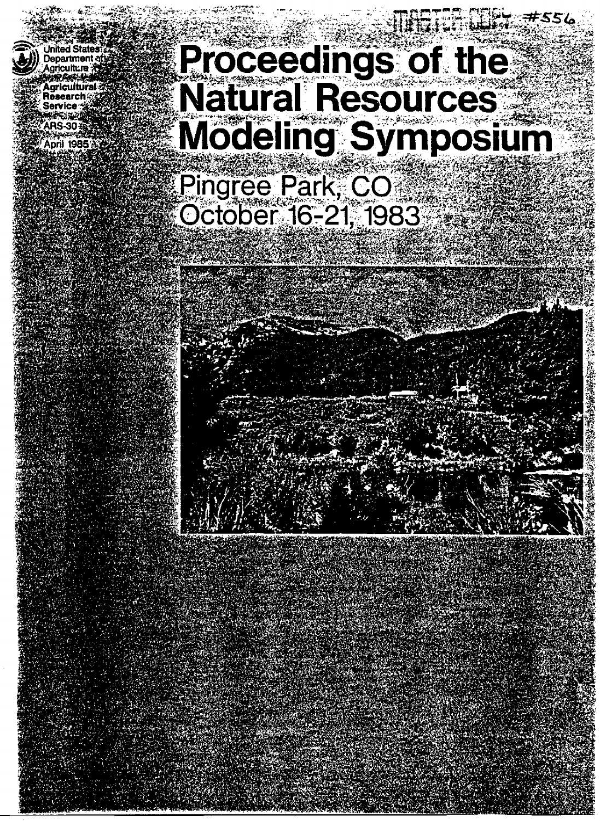'nited State **Department** Research Service **PS-30** April 1985

# **Proceedings of the<br>Natural Resources** Modeling Symposium Pingree Park, CO October 16-21, 1983

**#556**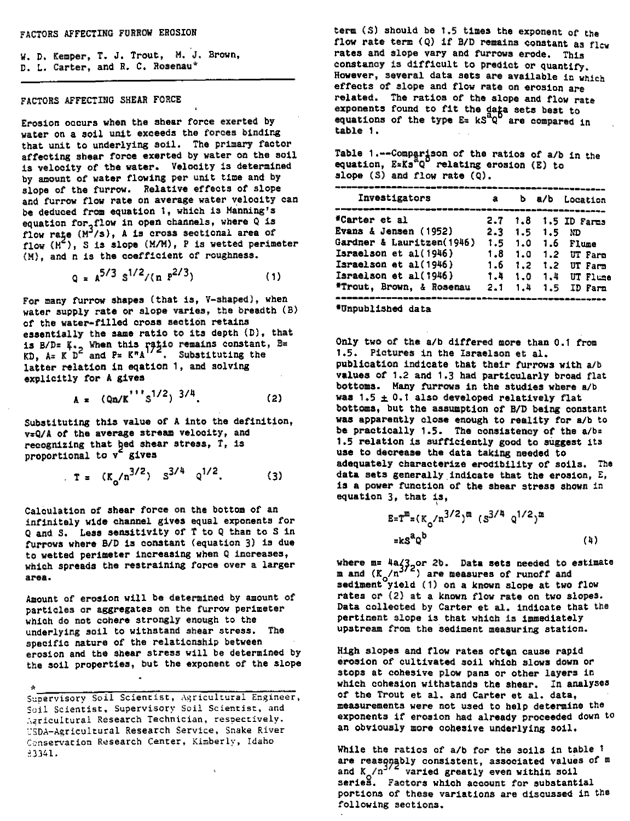*W.* D. Kemper, T. J. Trout, *M. J.* Brown, D. L. Carter, and R. C. Rosenau\*

# FACTORS AFFECTING SHEAR FORCE

Erosion occurs when the shear force exerted by water on a soil unit exceeds the forces binding that unit to underlying soil. The primary factor affecting shear force exerted by water on the soil is velocity of the water. Velocity is determined by amount of water flowing per unit time and by slope of the furrow. Relative effects of slope and furrow *flow rate* on average water velocity can be deduced from equation 1, which is Manning's equation for  $f$ low in open channels, where Q is *flow r4e (II*<sup>3</sup> /s), A is cross sectional area of flow (M ), S is slope (M/M), P *is* wetted perimeter (M), and n is the coefficient of roughness.

$$
Q = A^{5/3} S^{1/2} / (n P^{2/3})
$$
 (1)

For many furrow shapes (that is, V-shaped), when water supply rate or slope varies, the breadth (B) of the water-filled cross section retains essentially the same ratio to its depth (D), that is  $B/D=K_{1/2}$  When this ratio remains constant, Begins KD, A= K D<sup>2</sup> and P= K<sup>m</sup>A<sup>172</sup>. Substituting the latter relation in eqation 1, and solving explicitly for A gives

$$
A = (Qn/K^{11} s^{1/2})^{3/4}.
$$
 (2)

Substituting this value of A into the definition, v=Q/A of the average stream velocity, and recognizing that hed shear stress, T, is proportional to v<sup>2</sup> gives

$$
r = (K_0/n^{3/2}) \t S^{3/4} \t Q^{1/2}.
$$
 (3)

Calculation of shear force on the bottom of an infinitely wide channel gives equal exponents for Q and S. Less sensitivity of T to Q than to S in furrows where 8/D is constant (equation 3) is due to wetted perimeter increasing when Q increases, which spreads the restraining force over a larger area.

Amount of erosion will be determined by amount of particles or aggregates on the furrow perimeter which do not cohere strongly enough to the underlying soil to withstand shear stress. The specific nature of the relationship between erosion and the shear stress will be determined by the soil properties, but the exponent of the slope

Supervisory Soil Scientist, Agricultural Engineer, Soil Scientist, Supervisory Soil Scientist, and A4ricuItural Research Technician, respectively. USDA-Agricultural Research Service, Snake River Conservation Research Center, Kimberly, Idaho 93341.

**term** (S) should be 1.5 **times the exponent of the flow rate term (Q) if B/D remains constant as flew rates and slope vary and furrows erode. This constancy is difficult to predict** or quantify. However, several data **sets** are **available** in which **effects of slope and flow rate on erosion are related. The ratios of the slope and flow rate** exponents found to fit the data sets best to<br>equations of the type E= kS<sup>4</sup>0<sup>6</sup> are compared **equations of the type E= kS<sup>2</sup>Q** are compared in table 1.

Table 1.--Comparison of the ratios of a/b in the equation,  $E=KS^0$  relating erosion (E) to slope (S) and flow rate (Q).

| Investigators                                      | a          |            |              | b a/b Location   |
|----------------------------------------------------|------------|------------|--------------|------------------|
| *Carter et al                                      | 2.7        |            |              | 1.8 1.5 ID Farms |
| Evans & Jensen (1952)<br>Gardner & Lauritzen(1946) | 2.3<br>1.5 | 1.5<br>1.0 | 1.5<br>- 1.6 | ΝD<br>Flume      |
| Israelson et al(1946)                              | 1.8        | 1.0        | 1.2          | UT Fare          |
| Israelson et al(1946)                              | 1.6        | 1.2        | 1.2          | UT Farm          |
| Israelson et al(1946)                              | 1.4        | 1.0        | 1.4          | UT Flume         |
| <b>*Trout, Brown, &amp; Rosenau</b>                | 2.1        | 1.4        | 1.5.         | ID Farm          |

\*Unpublished data

Only two of the a/b differed more than 0.1 from 1.5. Pictures in the Israelson et al. publication indicate that their furrows with a/b values of 1.2 and 1.3 had particularly broad flat bottoms. Many furrows in the studies where a/b was  $1.5 \pm 0.1$  also developed relatively flat bottoms, but the assumption of B/D being constant was apparently close enough to reality *for* a/b to be practically 1.5. The consistency of the *albs* 1.5 relation is sufficiently good to suggest its **use to decrease the data taking needed to** adequately characterize erodibility of soils. The data sets generally indicate that the erosion, E, is a power function of the shear stress shown in equation 3, that is,

$$
E = Tm = (Ko/n3/2)m (S3/4 q1/2)m
$$
  
=  $kSaQb$  (4)

where m= 4a/3 or 2b. Data sets needed to estimate<br>m and (K<sub>o</sub>/n<sup>372</sup>) are measures of runoff and  $s$ ediment<sup>o</sup>yield (1) on a known slope at two flow rates or (2) at a known flow rate on two slopes. Data collected by Carter et al. indicate that the pertinent slope is that which is immediately upstream from the sediment measuring station.

High slopes and flow rates often cause rapid erosion of cultivated soil which slows down or stops at cohesive plow pans or other layers in which cohesion withstands the shear. In analyses of the Trout et al. and Carter et al. data, measurements were not used to help determine the exponents it erosion had already proceeded down to an obviously more cohesive underlying soil.

While the ratios of a/b *for* the soils in table 1 are reasonably consistent, associated values of m and  $K/n^{3/2}$  varied greatly even within soil series. Factors which account for substantial portions of these variations are discussed in the following sections.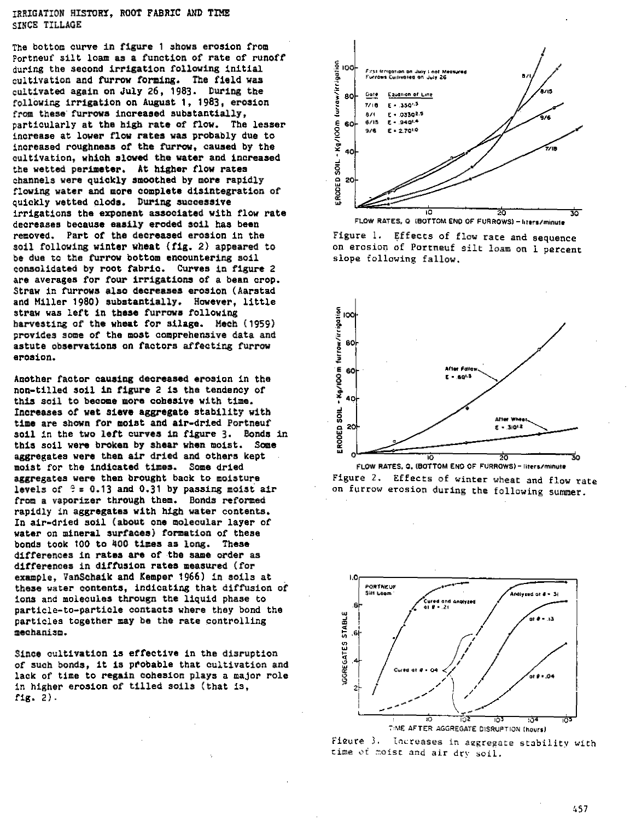# TRRIGATION HISTORY. ROOT FABRIC AND TIME STNCE TILLAGE

The bottom curve in figure 1 shows erosion from Portneuf silt loam as a function of rate of runoff during the second irrigation following initial cultivation and furrow forming. The field was cultivated again on July 26, 1983. During the following innigation on August 1, 1983, erosion from these furrows increased substantially. particularly at the high rate of flow. The lesser .<br>increase at lower flow rates was probably due to increased roughness of the furrow, caused by the cultivation, which slowed the water and increased the wetted perimeter. At higher flow rates channels were quickly smoothed by more rapidly flowing water and more complete disintegration of quickly wetted clods. During successive irrigations the exponent associated with flow rate decreases because easily eroded soil has been removed. Part of the decreased erosion in the soil following winter wheat (fig. 2) appeared to be due to the furrow bottom encountering soil consolidated by root fabric. Curves in figure 2 are averages for four irrigations of a bean crop. Straw in furrows also decreases erosion (Aarstad and Miller 1980) substantially. However, little straw was left in these furrows following harvesting of the wheat for silage. Mech (1959) provides some of the most comprehensive data and astute observations on factors affecting furrow erosion.

Another factor causing decreased erosion in the non-tilled soil in figure 2 is the tendency of this soil to become more cohesive with time. Increases of wet sieve aggregate stability with time are shown for moist and air-dried Portneuf soil in the two left curves in figure 3. Bonds in this soil were broken by shear when moist. Some aggregates were then air dried and others kept moist for the indicated times. Some dried aggregates were then brought back to moisture levels of  $\theta = 0.13$  and 0.31 by passing moist air from a vaporizer through them. Bonds reformed rapidly in aggregates with high water contents. In air-dried soil (about one molecular layer of water on mineral surfaces) formation of these bonds took 100 to 400 times as long. These differences in rates are of the same order as differences in diffusion rates measured (for example. VanSchaik and Kemper 1966) in soils at these water contents, indicating that diffusion of ions and molecules througn the liquid phase to particle-to-particle contacts where they bond the particles together may be the rate controlling mechanism.

Since cultivation is effective in the disruption of such bonds. it is probable that cultivation and lack of time to regain cohesion plays a major role in higher erosion of tilled soils (that is, fig.  $2$ ).













457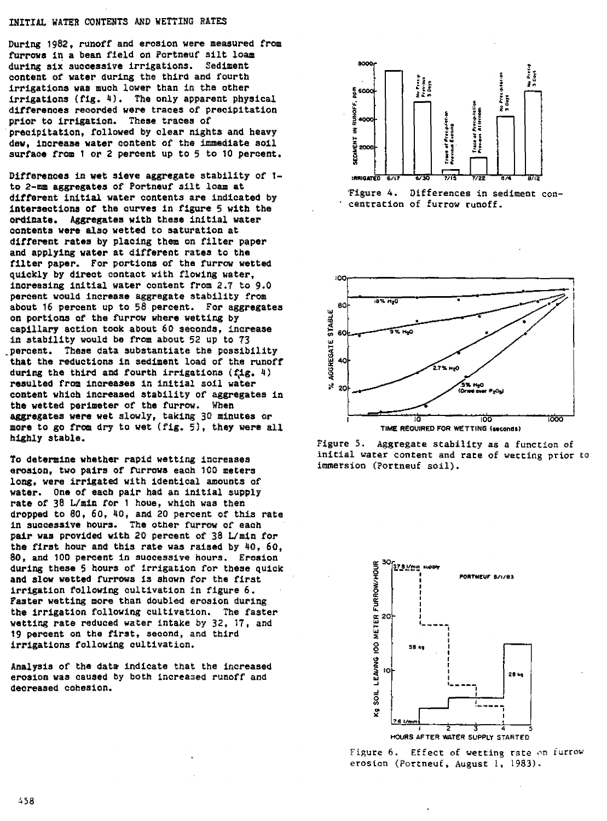### INITIAL WATER CONTENTS AND WETTING RATES

During 1982, runoff and erosion were measured from furrows in a bean field on Portneuf silt loam during six successive irrigations. Sediment content of water during the third and fourth irrigations was much lower than in the other irrigations (fig. 4). The only apparent physical differences recorded were traces of precipitation prior to irrigation. These traces of precipitation, followed by clear nights and heavy dew, increase water content of the immediate soil surface from 1 or 2 percent up to 5 to 10 percent.

Differences in wet sieve aggregate stability of 1to 2-mm aggregates of Portneuf silt loam at different initial water contents are indicated by intersections of the curves in figure 5 with the ordinate. Aggregates with these initial water contents were also wetted to saturation at different rates by placing them on filter paper and applying water at different rates to the filter paper. For portions of the furrow wetted quickly by direct contact with flowing water, increasing initial water content from 2.7 to 9.0 percent would increase aggregate stability from about 16 percent up to 58 percent. For aggregates on portions of the furrow where wetting by capillary action took about 60 seconds, increase in stability would be from about 52 up to 73 percent. These data substantiate the possibility that the reductions in sediment load of the runoff during the third and fourth irrigations (fig. 4) resulted from increases in initial soil water content which increased stability of aggregates in the wetted perimeter of the furrow. When aggregates were wet slowly, taking 30 minutes or more to go from dry to wet (fig. 5), they were all highly stable.

To determine whether rapid wetting increases erosion, two pairs of furrows each 100 meters long, were irrigated with identical amounts of water. One of each pair had an initial supply rate of 38 L/min for 1 houe, which was then dropped to 80, 60, 40, and 20 percent of this rate<br>in successive hours. The other furrow of each pair was provided with 20 percent of 38 L/min for the first hour and this rate was raised by 40, 60, 80, and 100 percent in successive hours. Erosion during these 5 hours of irrigation for these quick and slow wetted furrows is shown for the first irrigation following cultivation in figure 6. Faster wetting more than doubled erosion during the irrigation following cultivation. The faster wetting rate reduced water intake by 32, 17, and 19 percent on the first, second, and third irrigations following cultivation.

Analysis of the data indicate that the increased erosion was caused by both increased runoff and decreased cohesion.







Figure 5. Aggregate stability as a function of initial water content and rate of wetting prior to immersion (Portneuf soil).



Figure 6. Effect of wetting rate on furrow erosion (Portneuf, August 1, 1983).